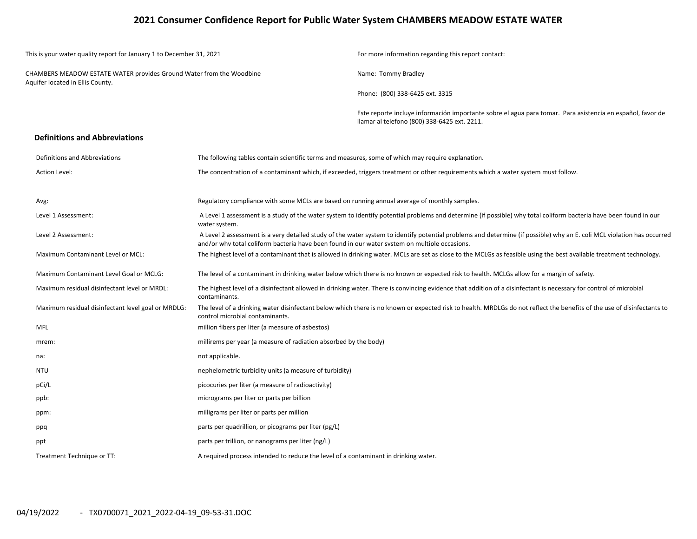## **2021 Consumer Confidence Report for Public Water System CHAMBERS MEADOW ESTATE WATER**

| This is your water quality report for January 1 to December 31, 2021                                     |                                                                                                                                                                                    | For more information regarding this report contact:                                                                                                                    |  |  |  |  |
|----------------------------------------------------------------------------------------------------------|------------------------------------------------------------------------------------------------------------------------------------------------------------------------------------|------------------------------------------------------------------------------------------------------------------------------------------------------------------------|--|--|--|--|
| CHAMBERS MEADOW ESTATE WATER provides Ground Water from the Woodbine<br>Aquifer located in Ellis County. |                                                                                                                                                                                    | Name: Tommy Bradley                                                                                                                                                    |  |  |  |  |
|                                                                                                          |                                                                                                                                                                                    | Phone: (800) 338-6425 ext. 3315                                                                                                                                        |  |  |  |  |
|                                                                                                          |                                                                                                                                                                                    | Este reporte incluye información importante sobre el agua para tomar. Para asistencia en español, favor de<br>Ilamar al telefono (800) 338-6425 ext. 2211.             |  |  |  |  |
| <b>Definitions and Abbreviations</b>                                                                     |                                                                                                                                                                                    |                                                                                                                                                                        |  |  |  |  |
| Definitions and Abbreviations                                                                            | The following tables contain scientific terms and measures, some of which may require explanation.                                                                                 |                                                                                                                                                                        |  |  |  |  |
| Action Level:                                                                                            |                                                                                                                                                                                    | The concentration of a contaminant which, if exceeded, triggers treatment or other requirements which a water system must follow.                                      |  |  |  |  |
| Avg:                                                                                                     | Regulatory compliance with some MCLs are based on running annual average of monthly samples.                                                                                       |                                                                                                                                                                        |  |  |  |  |
| Level 1 Assessment:                                                                                      | A Level 1 assessment is a study of the water system to identify potential problems and determine (if possible) why total coliform bacteria have been found in our<br>water system. |                                                                                                                                                                        |  |  |  |  |
| Level 2 Assessment:                                                                                      | and/or why total coliform bacteria have been found in our water system on multiple occasions.                                                                                      | A Level 2 assessment is a very detailed study of the water system to identify potential problems and determine (if possible) why an E. coli MCL violation has occurred |  |  |  |  |
| Maximum Contaminant Level or MCL:                                                                        |                                                                                                                                                                                    | The highest level of a contaminant that is allowed in drinking water. MCLs are set as close to the MCLGs as feasible using the best available treatment technology.    |  |  |  |  |
| Maximum Contaminant Level Goal or MCLG:                                                                  |                                                                                                                                                                                    | The level of a contaminant in drinking water below which there is no known or expected risk to health. MCLGs allow for a margin of safety.                             |  |  |  |  |
| Maximum residual disinfectant level or MRDL:                                                             | contaminants.                                                                                                                                                                      | The highest level of a disinfectant allowed in drinking water. There is convincing evidence that addition of a disinfectant is necessary for control of microbial      |  |  |  |  |
| Maximum residual disinfectant level goal or MRDLG:                                                       | control microbial contaminants.                                                                                                                                                    | The level of a drinking water disinfectant below which there is no known or expected risk to health. MRDLGs do not reflect the benefits of the use of disinfectants to |  |  |  |  |
| <b>MFL</b>                                                                                               | million fibers per liter (a measure of asbestos)                                                                                                                                   |                                                                                                                                                                        |  |  |  |  |
| mrem:                                                                                                    | millirems per year (a measure of radiation absorbed by the body)                                                                                                                   |                                                                                                                                                                        |  |  |  |  |
| na:                                                                                                      | not applicable.                                                                                                                                                                    |                                                                                                                                                                        |  |  |  |  |
| <b>NTU</b>                                                                                               | nephelometric turbidity units (a measure of turbidity)                                                                                                                             |                                                                                                                                                                        |  |  |  |  |
| pCi/L                                                                                                    | picocuries per liter (a measure of radioactivity)                                                                                                                                  |                                                                                                                                                                        |  |  |  |  |
| ppb:                                                                                                     | micrograms per liter or parts per billion                                                                                                                                          |                                                                                                                                                                        |  |  |  |  |
| ppm:                                                                                                     | milligrams per liter or parts per million                                                                                                                                          |                                                                                                                                                                        |  |  |  |  |
| ppq                                                                                                      | parts per quadrillion, or picograms per liter (pg/L)                                                                                                                               |                                                                                                                                                                        |  |  |  |  |
| ppt                                                                                                      | parts per trillion, or nanograms per liter (ng/L)                                                                                                                                  |                                                                                                                                                                        |  |  |  |  |
| Treatment Technique or TT:                                                                               | A required process intended to reduce the level of a contaminant in drinking water.                                                                                                |                                                                                                                                                                        |  |  |  |  |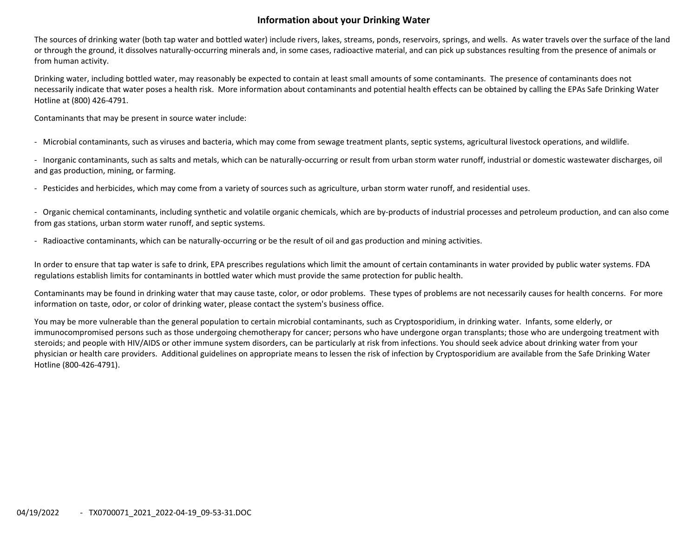## **Information about your Drinking Water**

The sources of drinking water (both tap water and bottled water) include rivers, lakes, streams, ponds, reservoirs, springs, and wells. As water travels over the surface of the land or through the ground, it dissolves naturally‐occurring minerals and, in some cases, radioactive material, and can pick up substances resulting from the presence of animals or from human activity.

Drinking water, including bottled water, may reasonably be expected to contain at least small amounts of some contaminants. The presence of contaminants does not necessarily indicate that water poses <sup>a</sup> health risk. More information about contaminants and potential health effects can be obtained by calling the EPAs Safe Drinking Water Hotline at (800) 426‐4791.

Contaminants that may be present in source water include:

‐ Microbial contaminants, such as viruses and bacteria, which may come from sewage treatment plants, septic systems, agricultural livestock operations, and wildlife.

‐ Inorganic contaminants, such as salts and metals, which can be naturally‐occurring or result from urban storm water runoff, industrial or domestic wastewater discharges, oil and gas production, mining, or farming.

‐ Pesticides and herbicides, which may come from <sup>a</sup> variety of sources such as agriculture, urban storm water runoff, and residential uses.

‐ Organic chemical contaminants, including synthetic and volatile organic chemicals, which are by‐products of industrial processes and petroleum production, and can also come from gas stations, urban storm water runoff, and septic systems.

‐ Radioactive contaminants, which can be naturally‐occurring or be the result of oil and gas production and mining activities.

In order to ensure that tap water is safe to drink, EPA prescribes regulations which limit the amount of certain contaminants in water provided by public water systems. FDA regulations establish limits for contaminants in bottled water which must provide the same protection for public health.

Contaminants may be found in drinking water that may cause taste, color, or odor problems. These types of problems are not necessarily causes for health concerns. For more information on taste, odor, or color of drinking water, please contact the system's business office.

You may be more vulnerable than the general population to certain microbial contaminants, such as Cryptosporidium, in drinking water. Infants, some elderly, or immunocompromised persons such as those undergoing chemotherapy for cancer; persons who have undergone organ transplants; those who are undergoing treatment with steroids; and people with HIV/AIDS or other immune system disorders, can be particularly at risk from infections. You should seek advice about drinking water from your physician or health care providers. Additional guidelines on appropriate means to lessen the risk of infection by Cryptosporidium are available from the Safe Drinking Water Hotline (800‐426‐4791).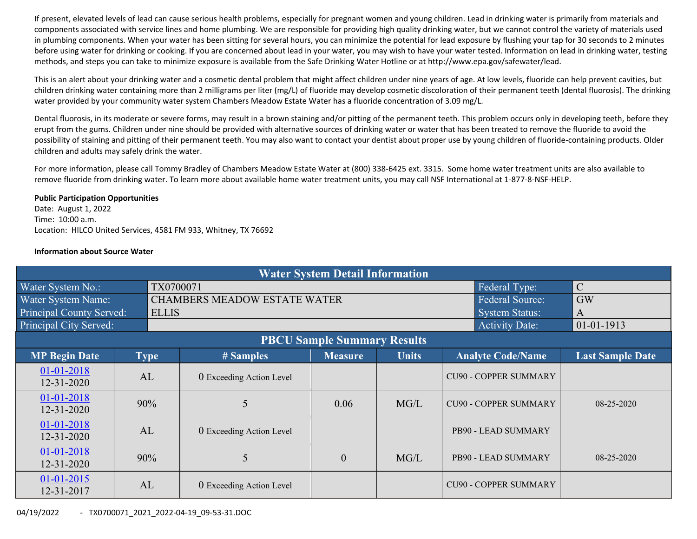If present, elevated levels of lead can cause serious health problems, especially for pregnant women and young children. Lead in drinking water is primarily from materials and components associated with service lines and home plumbing. We are responsible for providing high quality drinking water, but we cannot control the variety of materials used in plumbing components. When your water has been sitting for several hours, you can minimize the potential for lead exposure by flushing your tap for 30 seconds to 2 minutes before using water for drinking or cooking. If you are concerned about lead in your water, you may wish to have your water tested. Information on lead in drinking water, testing methods, and steps you can take to minimize exposure is available from the Safe Drinking Water Hotline or at http://www.epa.gov/safewater/lead.

This is an alert about your drinking water and <sup>a</sup> cosmetic dental problem that might affect children under nine years of age. At low levels, fluoride can help prevent cavities, but children drinking water containing more than 2 milligrams per liter (mg/L) of fluoride may develop cosmetic discoloration of their permanent teeth (dental fluorosis). The drinking water provided by your community water system Chambers Meadow Estate Water has <sup>a</sup> fluoride concentration of 3.09 mg/L.

Dental fluorosis, in its moderate or severe forms, may result in <sup>a</sup> brown staining and/or pitting of the permanent teeth. This problem occurs only in developing teeth, before they erupt from the gums. Children under nine should be provided with alternative sources of drinking water or water that has been treated to remove the fluoride to avoid the possibility of staining and pitting of their permanent teeth. You may also want to contact your dentist about proper use by young children of fluoride-containing products. Older children and adults may safely drink the water.

For more information, please call Tommy Bradley of Chambers Meadow Estate Water at (800) 338‐6425 ext. 3315. Some home water treatment units are also available to remove fluoride from drinking water. To learn more about available home water treatment units, you may call NSF International at 1‐877‐8‐NSF‐HELP.

#### **Public Participation Opportunities**

Date: August 1, 2022 Time: 10:00 a.m. Location: HILCO United Services, 4581 FM 933, Whitney, TX 76692

### **Information about Source Water**

| <b>Water System Detail Information</b> |    |              |                                     |                                    |                         |                              |                  |  |  |  |
|----------------------------------------|----|--------------|-------------------------------------|------------------------------------|-------------------------|------------------------------|------------------|--|--|--|
| Water System No.:                      |    | TX0700071    |                                     | Federal Type:                      | $\mathcal{C}$           |                              |                  |  |  |  |
| Water System Name:                     |    |              | <b>CHAMBERS MEADOW ESTATE WATER</b> | <b>Federal Source:</b>             | GW                      |                              |                  |  |  |  |
| Principal County Served:               |    | <b>ELLIS</b> |                                     |                                    |                         | <b>System Status:</b>        | $\mathbf{A}$     |  |  |  |
| Principal City Served:                 |    |              |                                     |                                    |                         | <b>Activity Date:</b>        | 01-01-1913       |  |  |  |
|                                        |    |              |                                     | <b>PBCU Sample Summary Results</b> |                         |                              |                  |  |  |  |
| <b>MP Begin Date</b>                   |    | <b>Type</b>  | # Samples                           | <b>Analyte Code/Name</b>           | <b>Last Sample Date</b> |                              |                  |  |  |  |
| 01-01-2018<br>12-31-2020               | AL |              | 0 Exceeding Action Level            |                                    |                         | <b>CU90 - COPPER SUMMARY</b> |                  |  |  |  |
| 01-01-2018<br>$12 - 31 - 2020$         |    | 90%          | 5                                   | 0.06                               | MG/L                    | <b>CU90 - COPPER SUMMARY</b> | $08 - 25 - 2020$ |  |  |  |
| 01-01-2018<br>12-31-2020               | AL |              | 0 Exceeding Action Level            |                                    |                         | PB90 - LEAD SUMMARY          |                  |  |  |  |
| 01-01-2018<br>12-31-2020               |    | 90%          | 5                                   | $\boldsymbol{0}$                   | MG/L                    | PB90 - LEAD SUMMARY          | $08 - 25 - 2020$ |  |  |  |
| $01-01-2015$<br>12-31-2017             | AL |              | 0 Exceeding Action Level            |                                    |                         | <b>CU90 - COPPER SUMMARY</b> |                  |  |  |  |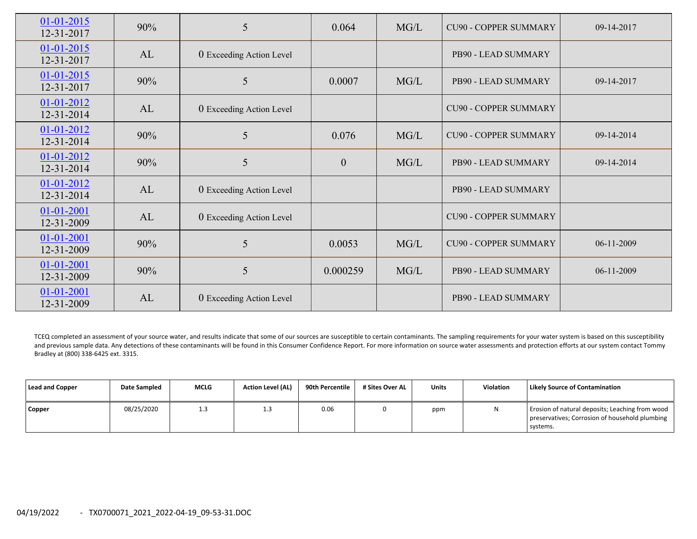| $01 - 01 - 2015$<br>12-31-2017 | 90% | 5                        | 0.064            | MG/L | <b>CU90 - COPPER SUMMARY</b> | 09-14-2017 |
|--------------------------------|-----|--------------------------|------------------|------|------------------------------|------------|
| $01 - 01 - 2015$<br>12-31-2017 | AL  | 0 Exceeding Action Level |                  |      | PB90 - LEAD SUMMARY          |            |
| $01 - 01 - 2015$<br>12-31-2017 | 90% | 5                        | 0.0007           | MG/L | <b>PB90 - LEAD SUMMARY</b>   | 09-14-2017 |
| 01-01-2012<br>12-31-2014       | AL  | 0 Exceeding Action Level |                  |      | <b>CU90 - COPPER SUMMARY</b> |            |
| 01-01-2012<br>12-31-2014       | 90% | 5                        | 0.076            | MG/L | <b>CU90 - COPPER SUMMARY</b> | 09-14-2014 |
| 01-01-2012<br>12-31-2014       | 90% | 5                        | $\boldsymbol{0}$ | MG/L | PB90 - LEAD SUMMARY          | 09-14-2014 |
| $01 - 01 - 2012$<br>12-31-2014 | AL  | 0 Exceeding Action Level |                  |      | PB90 - LEAD SUMMARY          |            |
| $01 - 01 - 2001$<br>12-31-2009 | AL  | 0 Exceeding Action Level |                  |      | <b>CU90 - COPPER SUMMARY</b> |            |
| $01 - 01 - 2001$<br>12-31-2009 | 90% | 5                        | 0.0053           | MG/L | <b>CU90 - COPPER SUMMARY</b> | 06-11-2009 |
| $01 - 01 - 2001$<br>12-31-2009 | 90% | 5                        | 0.000259         | MG/L | PB90 - LEAD SUMMARY          | 06-11-2009 |
| $01 - 01 - 2001$<br>12-31-2009 | AL  | 0 Exceeding Action Level |                  |      | PB90 - LEAD SUMMARY          |            |

TCEQ completed an assessment of your source water, and results indicate that some of our sources are susceptible to certain contaminants. The sampling requirements for your water system is based on this susceptibility and previous sample data. Any detections of these contaminants will be found in this Consumer Confidence Report. For more information on source water assessments and protection efforts at our system contact Tommy Bradley at (800) 338‐6425 ext. 3315.

| Lead and Copper | <b>Date Sampled</b> | <b>MCLG</b> | <b>Action Level (AL)</b> | 90th Percentile | # Sites Over AL | <b>Units</b> | <b>Violation</b> | <b>Likely Source of Contamination</b>                                                                         |
|-----------------|---------------------|-------------|--------------------------|-----------------|-----------------|--------------|------------------|---------------------------------------------------------------------------------------------------------------|
| <b>Copper</b>   | 08/25/2020          | 1.3         | 1.3                      | 0.06            |                 | ppm          | N                | Erosion of natural deposits; Leaching from wood<br>preservatives; Corrosion of household plumbing<br>systems. |